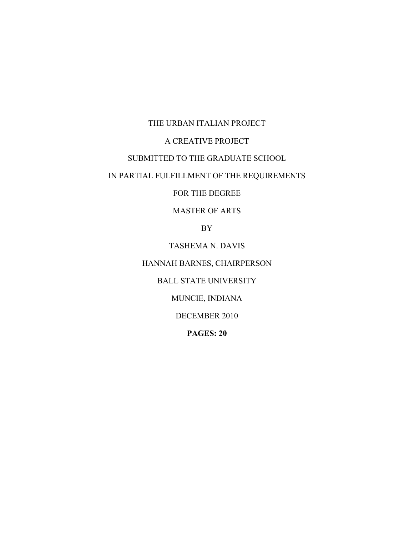## THE URBAN ITALIAN PROJECT

## A CREATIVE PROJECT

## SUBMITTED TO THE GRADUATE SCHOOL

# IN PARTIAL FULFILLMENT OF THE REQUIREMENTS

FOR THE DEGREE

# MASTER OF ARTS

BY

TASHEMA N. DAVIS

### HANNAH BARNES, CHAIRPERSON

BALL STATE UNIVERSITY

MUNCIE, INDIANA

DECEMBER 2010

**PAGES: 20**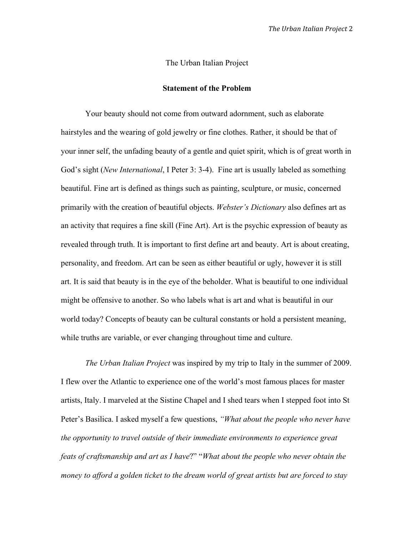### The Urban Italian Project

#### **Statement of the Problem**

Your beauty should not come from outward adornment, such as elaborate hairstyles and the wearing of gold jewelry or fine clothes. Rather, it should be that of your inner self, the unfading beauty of a gentle and quiet spirit, which is of great worth in God's sight (*New International*, I Peter 3: 3-4). Fine art is usually labeled as something beautiful. Fine art is defined as things such as painting, sculpture, or music, concerned primarily with the creation of beautiful objects. *Webster's Dictionary* also defines art as an activity that requires a fine skill (Fine Art). Art is the psychic expression of beauty as revealed through truth. It is important to first define art and beauty. Art is about creating, personality, and freedom. Art can be seen as either beautiful or ugly, however it is still art. It is said that beauty is in the eye of the beholder. What is beautiful to one individual might be offensive to another. So who labels what is art and what is beautiful in our world today? Concepts of beauty can be cultural constants or hold a persistent meaning, while truths are variable, or ever changing throughout time and culture.

*The Urban Italian Project* was inspired by my trip to Italy in the summer of 2009. I flew over the Atlantic to experience one of the world's most famous places for master artists, Italy. I marveled at the Sistine Chapel and I shed tears when I stepped foot into St Peter's Basilica. I asked myself a few questions, *"What about the people who never have the opportunity to travel outside of their immediate environments to experience great feats of craftsmanship and art as I have*?" "*What about the people who never obtain the money to afford a golden ticket to the dream world of great artists but are forced to stay*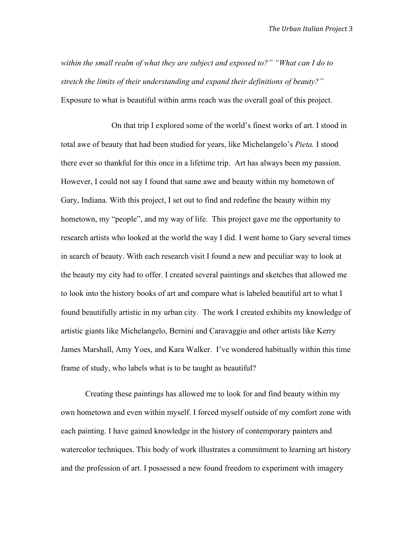*within the small realm of what they are subject and exposed to?" "What can I do to stretch the limits of their understanding and expand their definitions of beauty?"*  Exposure to what is beautiful within arms reach was the overall goal of this project.

 On that trip I explored some of the world's finest works of art. I stood in total awe of beauty that had been studied for years, like Michelangelo's *Pieta.* I stood there ever so thankful for this once in a lifetime trip. Art has always been my passion. However, I could not say I found that same awe and beauty within my hometown of Gary, Indiana. With this project, I set out to find and redefine the beauty within my hometown, my "people", and my way of life. This project gave me the opportunity to research artists who looked at the world the way I did. I went home to Gary several times in search of beauty. With each research visit I found a new and peculiar way to look at the beauty my city had to offer. I created several paintings and sketches that allowed me to look into the history books of art and compare what is labeled beautiful art to what I found beautifully artistic in my urban city. The work I created exhibits my knowledge of artistic giants like Michelangelo, Bernini and Caravaggio and other artists like Kerry James Marshall, Amy Yoes, and Kara Walker. I've wondered habitually within this time frame of study, who labels what is to be taught as beautiful?

Creating these paintings has allowed me to look for and find beauty within my own hometown and even within myself. I forced myself outside of my comfort zone with each painting. I have gained knowledge in the history of contemporary painters and watercolor techniques. This body of work illustrates a commitment to learning art history and the profession of art. I possessed a new found freedom to experiment with imagery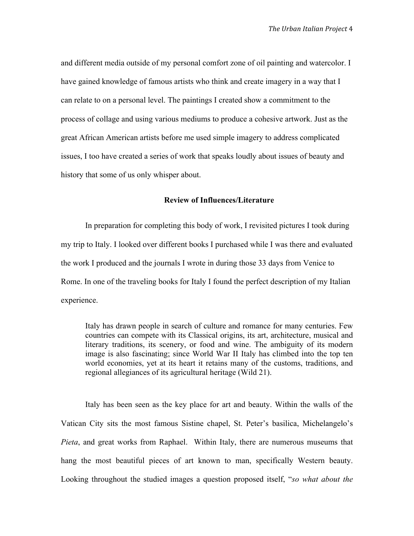and different media outside of my personal comfort zone of oil painting and watercolor. I have gained knowledge of famous artists who think and create imagery in a way that I can relate to on a personal level. The paintings I created show a commitment to the process of collage and using various mediums to produce a cohesive artwork. Just as the great African American artists before me used simple imagery to address complicated issues, I too have created a series of work that speaks loudly about issues of beauty and history that some of us only whisper about.

## **Review of Influences/Literature**

In preparation for completing this body of work, I revisited pictures I took during my trip to Italy. I looked over different books I purchased while I was there and evaluated the work I produced and the journals I wrote in during those 33 days from Venice to Rome. In one of the traveling books for Italy I found the perfect description of my Italian experience.

Italy has drawn people in search of culture and romance for many centuries. Few countries can compete with its Classical origins, its art, architecture, musical and literary traditions, its scenery, or food and wine. The ambiguity of its modern image is also fascinating; since World War II Italy has climbed into the top ten world economies, yet at its heart it retains many of the customs, traditions, and regional allegiances of its agricultural heritage (Wild 21).

Italy has been seen as the key place for art and beauty. Within the walls of the Vatican City sits the most famous Sistine chapel, St. Peter's basilica, Michelangelo's *Pieta*, and great works from Raphael. Within Italy, there are numerous museums that hang the most beautiful pieces of art known to man, specifically Western beauty. Looking throughout the studied images a question proposed itself, "*so what about the*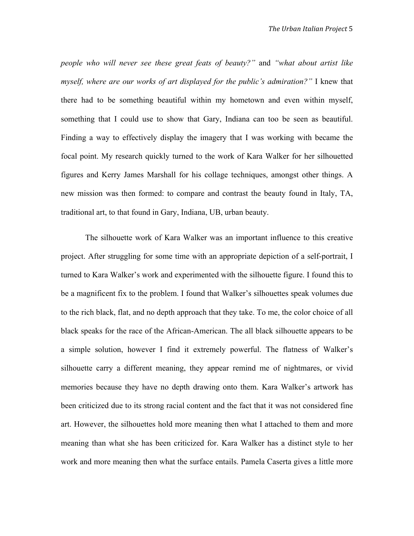*people who will never see these great feats of beauty?"* and *"what about artist like myself, where are our works of art displayed for the public's admiration?"* I knew that there had to be something beautiful within my hometown and even within myself, something that I could use to show that Gary, Indiana can too be seen as beautiful. Finding a way to effectively display the imagery that I was working with became the focal point. My research quickly turned to the work of Kara Walker for her silhouetted figures and Kerry James Marshall for his collage techniques, amongst other things. A new mission was then formed: to compare and contrast the beauty found in Italy, TA, traditional art, to that found in Gary, Indiana, UB, urban beauty.

The silhouette work of Kara Walker was an important influence to this creative project. After struggling for some time with an appropriate depiction of a self-portrait, I turned to Kara Walker's work and experimented with the silhouette figure. I found this to be a magnificent fix to the problem. I found that Walker's silhouettes speak volumes due to the rich black, flat, and no depth approach that they take. To me, the color choice of all black speaks for the race of the African-American. The all black silhouette appears to be a simple solution, however I find it extremely powerful. The flatness of Walker's silhouette carry a different meaning, they appear remind me of nightmares, or vivid memories because they have no depth drawing onto them. Kara Walker's artwork has been criticized due to its strong racial content and the fact that it was not considered fine art. However, the silhouettes hold more meaning then what I attached to them and more meaning than what she has been criticized for. Kara Walker has a distinct style to her work and more meaning then what the surface entails. Pamela Caserta gives a little more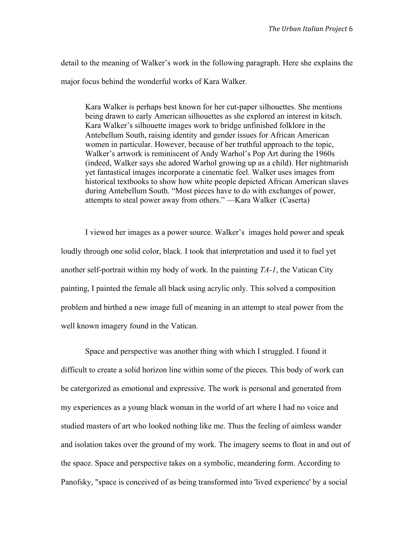detail to the meaning of Walker's work in the following paragraph. Here she explains the major focus behind the wonderful works of Kara Walker.

Kara Walker is perhaps best known for her cut-paper silhouettes. She mentions being drawn to early American silhouettes as she explored an interest in kitsch. Kara Walker's silhouette images work to bridge unfinished folklore in the Antebellum South, raising identity and gender issues for African American women in particular. However, because of her truthful approach to the topic, Walker's artwork is reminiscent of Andy Warhol's Pop Art during the 1960s (indeed, Walker says she adored Warhol growing up as a child). Her nightmarish yet fantastical images incorporate a cinematic feel. Walker uses images from historical textbooks to show how white people depicted African American slaves during Antebellum South. "Most pieces have to do with exchanges of power, attempts to steal power away from others." —Kara Walker (Caserta)

I viewed her images as a power source. Walker's images hold power and speak loudly through one solid color, black. I took that interpretation and used it to fuel yet another self-portrait within my body of work. In the painting *TA-1*, the Vatican City painting, I painted the female all black using acrylic only. This solved a composition problem and birthed a new image full of meaning in an attempt to steal power from the well known imagery found in the Vatican.

Space and perspective was another thing with which I struggled. I found it difficult to create a solid horizon line within some of the pieces. This body of work can be catergorized as emotional and expressive. The work is personal and generated from my experiences as a young black woman in the world of art where I had no voice and studied masters of art who looked nothing like me. Thus the feeling of aimless wander and isolation takes over the ground of my work. The imagery seems to float in and out of the space. Space and perspective takes on a symbolic, meandering form. According to Panofsky, "space is conceived of as being transformed into 'lived experience' by a social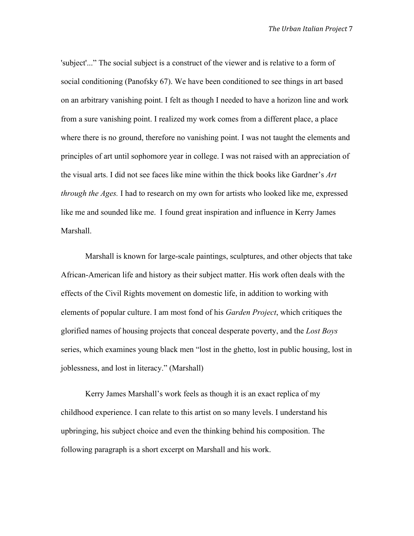'subject'..." The social subject is a construct of the viewer and is relative to a form of social conditioning (Panofsky 67). We have been conditioned to see things in art based on an arbitrary vanishing point. I felt as though I needed to have a horizon line and work from a sure vanishing point. I realized my work comes from a different place, a place where there is no ground, therefore no vanishing point. I was not taught the elements and principles of art until sophomore year in college. I was not raised with an appreciation of the visual arts. I did not see faces like mine within the thick books like Gardner's *Art through the Ages.* I had to research on my own for artists who looked like me, expressed like me and sounded like me. I found great inspiration and influence in Kerry James Marshall.

Marshall is known for large-scale paintings, sculptures, and other objects that take African-American life and history as their subject matter. His work often deals with the effects of the Civil Rights movement on domestic life, in addition to working with elements of popular culture. I am most fond of his *Garden Project*, which critiques the glorified names of housing projects that conceal desperate poverty, and the *Lost Boys* series, which examines young black men "lost in the ghetto, lost in public housing, lost in joblessness, and lost in literacy." (Marshall)

Kerry James Marshall's work feels as though it is an exact replica of my childhood experience. I can relate to this artist on so many levels. I understand his upbringing, his subject choice and even the thinking behind his composition. The following paragraph is a short excerpt on Marshall and his work.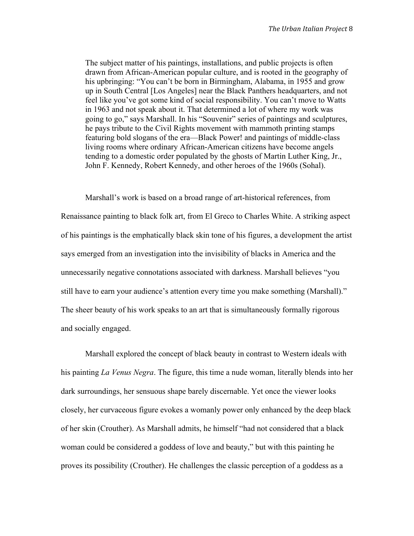The subject matter of his paintings, installations, and public projects is often drawn from African-American popular culture, and is rooted in the geography of his upbringing: "You can't be born in Birmingham, Alabama, in 1955 and grow up in South Central [Los Angeles] near the Black Panthers headquarters, and not feel like you've got some kind of social responsibility. You can't move to Watts in 1963 and not speak about it. That determined a lot of where my work was going to go," says Marshall. In his "Souvenir" series of paintings and sculptures, he pays tribute to the Civil Rights movement with mammoth printing stamps featuring bold slogans of the era—Black Power! and paintings of middle-class living rooms where ordinary African-American citizens have become angels tending to a domestic order populated by the ghosts of Martin Luther King, Jr., John F. Kennedy, Robert Kennedy, and other heroes of the 1960s (Sohal).

Marshall's work is based on a broad range of art-historical references, from Renaissance painting to black folk art, from El Greco to Charles White. A striking aspect of his paintings is the emphatically black skin tone of his figures, a development the artist says emerged from an investigation into the invisibility of blacks in America and the unnecessarily negative connotations associated with darkness. Marshall believes "you still have to earn your audience's attention every time you make something (Marshall)." The sheer beauty of his work speaks to an art that is simultaneously formally rigorous and socially engaged.

Marshall explored the concept of black beauty in contrast to Western ideals with his painting *La Venus Negra*. The figure, this time a nude woman, literally blends into her dark surroundings, her sensuous shape barely discernable. Yet once the viewer looks closely, her curvaceous figure evokes a womanly power only enhanced by the deep black of her skin (Crouther). As Marshall admits, he himself "had not considered that a black woman could be considered a goddess of love and beauty," but with this painting he proves its possibility (Crouther). He challenges the classic perception of a goddess as a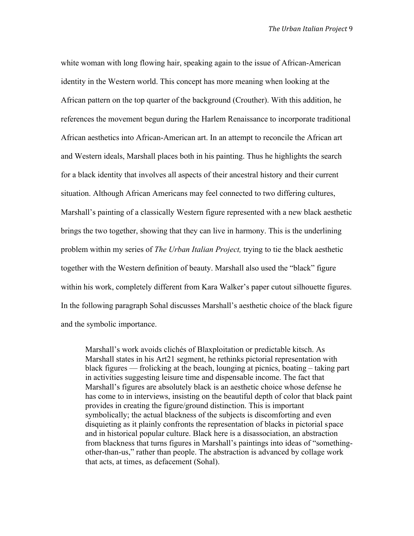white woman with long flowing hair, speaking again to the issue of African-American identity in the Western world. This concept has more meaning when looking at the African pattern on the top quarter of the background (Crouther). With this addition, he references the movement begun during the Harlem Renaissance to incorporate traditional African aesthetics into African-American art. In an attempt to reconcile the African art and Western ideals, Marshall places both in his painting. Thus he highlights the search for a black identity that involves all aspects of their ancestral history and their current situation. Although African Americans may feel connected to two differing cultures, Marshall's painting of a classically Western figure represented with a new black aesthetic brings the two together, showing that they can live in harmony. This is the underlining problem within my series of *The Urban Italian Project,* trying to tie the black aesthetic together with the Western definition of beauty. Marshall also used the "black" figure within his work, completely different from Kara Walker's paper cutout silhouette figures. In the following paragraph Sohal discusses Marshall's aesthetic choice of the black figure and the symbolic importance.

Marshall's work avoids clichés of Blaxploitation or predictable kitsch. As Marshall states in his Art21 segment, he rethinks pictorial representation with black figures — frolicking at the beach, lounging at picnics, boating – taking part in activities suggesting leisure time and dispensable income. The fact that Marshall's figures are absolutely black is an aesthetic choice whose defense he has come to in interviews, insisting on the beautiful depth of color that black paint provides in creating the figure/ground distinction. This is important symbolically; the actual blackness of the subjects is discomforting and even disquieting as it plainly confronts the representation of blacks in pictorial space and in historical popular culture. Black here is a disassociation, an abstraction from blackness that turns figures in Marshall's paintings into ideas of "somethingother-than-us," rather than people. The abstraction is advanced by collage work that acts, at times, as defacement (Sohal).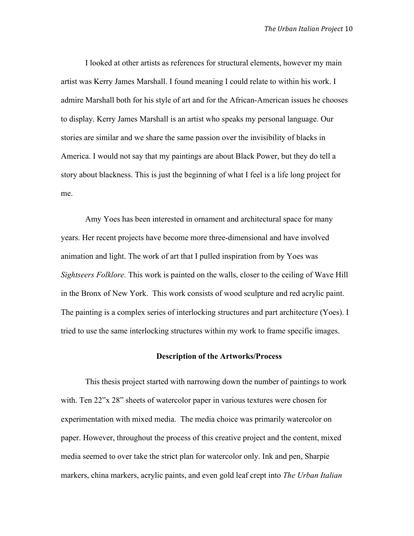I looked at other artists as references for structural elements, however my main artist was Kerry James Marshall. I found meaning I could relate to within his work. I admire Marshall both for his style of art and for the African-American issues he chooses to display. Kerry James Marshall is an artist who speaks my personal language. Our stories are similar and we share the same passion over the invisibility of blacks in America. I would not say that my paintings are about Black Power, but they do tell a story about blackness. This is just the beginning of what I feel is a life long project for me.

Amy Yoes has been interested in ornament and architectural space for many years. Her recent projects have become more three-dimensional and have involved animation and light. The work of art that I pulled inspiration from by Yoes was *Sightseers Folklore.* This work is painted on the walls, closer to the ceiling of Wave Hill in the Bronx of New York. This work consists of wood sculpture and red acrylic paint. The painting is a complex series of interlocking structures and part architecture (Yoes). I tried to use the same interlocking structures within my work to frame specific images.

### **Description of the Artworks/Process**

This thesis project started with narrowing down the number of paintings to work with. Ten 22"x 28" sheets of watercolor paper in various textures were chosen for experimentation with mixed media. The media choice was primarily watercolor on paper. However, throughout the process of this creative project and the content, mixed media seemed to over take the strict plan for watercolor only. Ink and pen, Sharpie markers, china markers, acrylic paints, and even gold leaf crept into *The Urban Italian*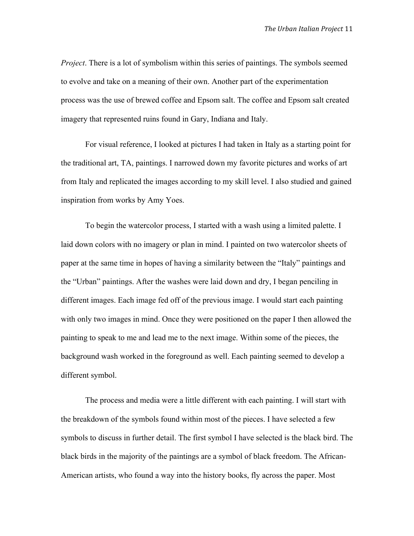*Project*. There is a lot of symbolism within this series of paintings. The symbols seemed to evolve and take on a meaning of their own. Another part of the experimentation process was the use of brewed coffee and Epsom salt. The coffee and Epsom salt created imagery that represented ruins found in Gary, Indiana and Italy.

For visual reference, I looked at pictures I had taken in Italy as a starting point for the traditional art, TA, paintings. I narrowed down my favorite pictures and works of art from Italy and replicated the images according to my skill level. I also studied and gained inspiration from works by Amy Yoes.

To begin the watercolor process, I started with a wash using a limited palette. I laid down colors with no imagery or plan in mind. I painted on two watercolor sheets of paper at the same time in hopes of having a similarity between the "Italy" paintings and the "Urban" paintings. After the washes were laid down and dry, I began penciling in different images. Each image fed off of the previous image. I would start each painting with only two images in mind. Once they were positioned on the paper I then allowed the painting to speak to me and lead me to the next image. Within some of the pieces, the background wash worked in the foreground as well. Each painting seemed to develop a different symbol.

The process and media were a little different with each painting. I will start with the breakdown of the symbols found within most of the pieces. I have selected a few symbols to discuss in further detail. The first symbol I have selected is the black bird. The black birds in the majority of the paintings are a symbol of black freedom. The African-American artists, who found a way into the history books, fly across the paper. Most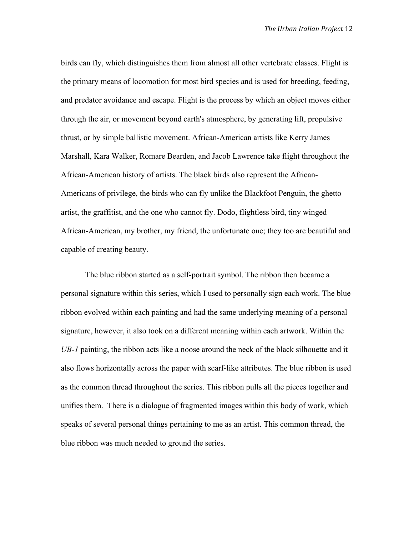birds can fly, which distinguishes them from almost all other vertebrate classes. Flight is the primary means of locomotion for most bird species and is used for breeding, feeding, and predator avoidance and escape. Flight is the process by which an object moves either through the air, or movement beyond earth's atmosphere, by generating lift, propulsive thrust, or by simple ballistic movement. African-American artists like Kerry James Marshall, Kara Walker, Romare Bearden, and Jacob Lawrence take flight throughout the African-American history of artists. The black birds also represent the African-Americans of privilege, the birds who can fly unlike the Blackfoot Penguin, the ghetto artist, the graffitist, and the one who cannot fly. Dodo, flightless bird, tiny winged African-American, my brother, my friend, the unfortunate one; they too are beautiful and capable of creating beauty.

The blue ribbon started as a self-portrait symbol. The ribbon then became a personal signature within this series, which I used to personally sign each work. The blue ribbon evolved within each painting and had the same underlying meaning of a personal signature, however, it also took on a different meaning within each artwork. Within the *UB-1* painting, the ribbon acts like a noose around the neck of the black silhouette and it also flows horizontally across the paper with scarf-like attributes. The blue ribbon is used as the common thread throughout the series. This ribbon pulls all the pieces together and unifies them. There is a dialogue of fragmented images within this body of work, which speaks of several personal things pertaining to me as an artist. This common thread, the blue ribbon was much needed to ground the series.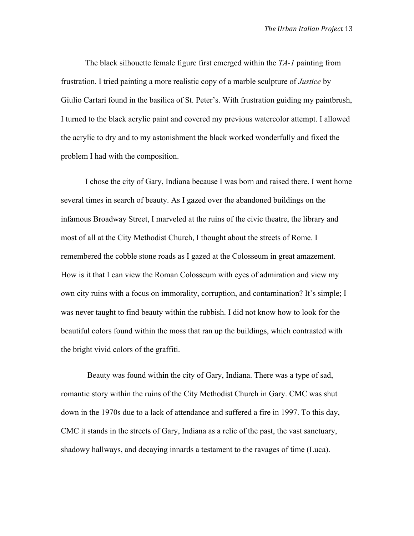The black silhouette female figure first emerged within the *TA-1* painting from frustration. I tried painting a more realistic copy of a marble sculpture of *Justice* by Giulio Cartari found in the basilica of St. Peter's. With frustration guiding my paintbrush, I turned to the black acrylic paint and covered my previous watercolor attempt. I allowed the acrylic to dry and to my astonishment the black worked wonderfully and fixed the problem I had with the composition.

I chose the city of Gary, Indiana because I was born and raised there. I went home several times in search of beauty. As I gazed over the abandoned buildings on the infamous Broadway Street, I marveled at the ruins of the civic theatre, the library and most of all at the City Methodist Church, I thought about the streets of Rome. I remembered the cobble stone roads as I gazed at the Colosseum in great amazement. How is it that I can view the Roman Colosseum with eyes of admiration and view my own city ruins with a focus on immorality, corruption, and contamination? It's simple; I was never taught to find beauty within the rubbish. I did not know how to look for the beautiful colors found within the moss that ran up the buildings, which contrasted with the bright vivid colors of the graffiti.

 Beauty was found within the city of Gary, Indiana. There was a type of sad, romantic story within the ruins of the City Methodist Church in Gary. CMC was shut down in the 1970s due to a lack of attendance and suffered a fire in 1997. To this day, CMC it stands in the streets of Gary, Indiana as a relic of the past, the vast sanctuary, shadowy hallways, and decaying innards a testament to the ravages of time (Luca).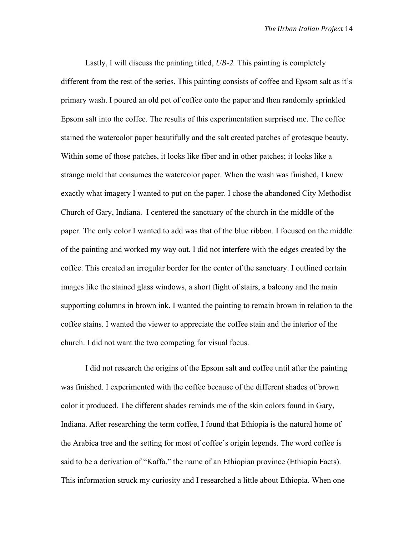Lastly, I will discuss the painting titled, *UB-2.* This painting is completely different from the rest of the series. This painting consists of coffee and Epsom salt as it's primary wash. I poured an old pot of coffee onto the paper and then randomly sprinkled Epsom salt into the coffee. The results of this experimentation surprised me. The coffee stained the watercolor paper beautifully and the salt created patches of grotesque beauty. Within some of those patches, it looks like fiber and in other patches; it looks like a strange mold that consumes the watercolor paper. When the wash was finished, I knew exactly what imagery I wanted to put on the paper. I chose the abandoned City Methodist Church of Gary, Indiana. I centered the sanctuary of the church in the middle of the paper. The only color I wanted to add was that of the blue ribbon. I focused on the middle of the painting and worked my way out. I did not interfere with the edges created by the coffee. This created an irregular border for the center of the sanctuary. I outlined certain images like the stained glass windows, a short flight of stairs, a balcony and the main supporting columns in brown ink. I wanted the painting to remain brown in relation to the coffee stains. I wanted the viewer to appreciate the coffee stain and the interior of the church. I did not want the two competing for visual focus.

I did not research the origins of the Epsom salt and coffee until after the painting was finished. I experimented with the coffee because of the different shades of brown color it produced. The different shades reminds me of the skin colors found in Gary, Indiana. After researching the term coffee, I found that Ethiopia is the natural home of the Arabica tree and the setting for most of coffee's origin legends. The word coffee is said to be a derivation of "Kaffa," the name of an Ethiopian province (Ethiopia Facts). This information struck my curiosity and I researched a little about Ethiopia. When one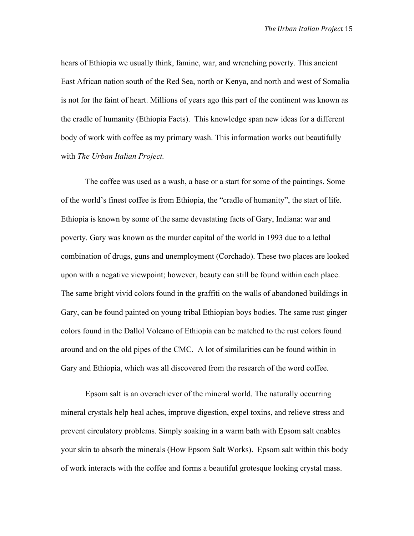hears of Ethiopia we usually think, famine, war, and wrenching poverty. This ancient East African nation south of the Red Sea, north or Kenya, and north and west of Somalia is not for the faint of heart. Millions of years ago this part of the continent was known as the cradle of humanity (Ethiopia Facts). This knowledge span new ideas for a different body of work with coffee as my primary wash. This information works out beautifully with *The Urban Italian Project.*

The coffee was used as a wash, a base or a start for some of the paintings. Some of the world's finest coffee is from Ethiopia, the "cradle of humanity", the start of life. Ethiopia is known by some of the same devastating facts of Gary, Indiana: war and poverty. Gary was known as the murder capital of the world in 1993 due to a lethal combination of drugs, guns and unemployment (Corchado). These two places are looked upon with a negative viewpoint; however, beauty can still be found within each place. The same bright vivid colors found in the graffiti on the walls of abandoned buildings in Gary, can be found painted on young tribal Ethiopian boys bodies. The same rust ginger colors found in the Dallol Volcano of Ethiopia can be matched to the rust colors found around and on the old pipes of the CMC. A lot of similarities can be found within in Gary and Ethiopia, which was all discovered from the research of the word coffee.

Epsom salt is an overachiever of the mineral world. The naturally occurring mineral crystals help heal aches, improve digestion, expel toxins, and relieve stress and prevent circulatory problems. Simply soaking in a warm bath with Epsom salt enables your skin to absorb the minerals (How Epsom Salt Works). Epsom salt within this body of work interacts with the coffee and forms a beautiful grotesque looking crystal mass.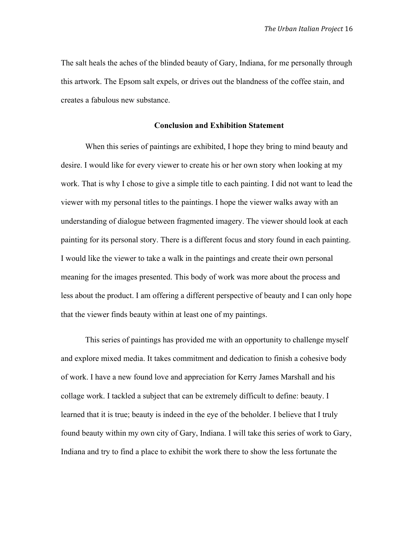The salt heals the aches of the blinded beauty of Gary, Indiana, for me personally through this artwork. The Epsom salt expels, or drives out the blandness of the coffee stain, and creates a fabulous new substance.

### **Conclusion and Exhibition Statement**

When this series of paintings are exhibited, I hope they bring to mind beauty and desire. I would like for every viewer to create his or her own story when looking at my work. That is why I chose to give a simple title to each painting. I did not want to lead the viewer with my personal titles to the paintings. I hope the viewer walks away with an understanding of dialogue between fragmented imagery. The viewer should look at each painting for its personal story. There is a different focus and story found in each painting. I would like the viewer to take a walk in the paintings and create their own personal meaning for the images presented. This body of work was more about the process and less about the product. I am offering a different perspective of beauty and I can only hope that the viewer finds beauty within at least one of my paintings.

This series of paintings has provided me with an opportunity to challenge myself and explore mixed media. It takes commitment and dedication to finish a cohesive body of work. I have a new found love and appreciation for Kerry James Marshall and his collage work. I tackled a subject that can be extremely difficult to define: beauty. I learned that it is true; beauty is indeed in the eye of the beholder. I believe that I truly found beauty within my own city of Gary, Indiana. I will take this series of work to Gary, Indiana and try to find a place to exhibit the work there to show the less fortunate the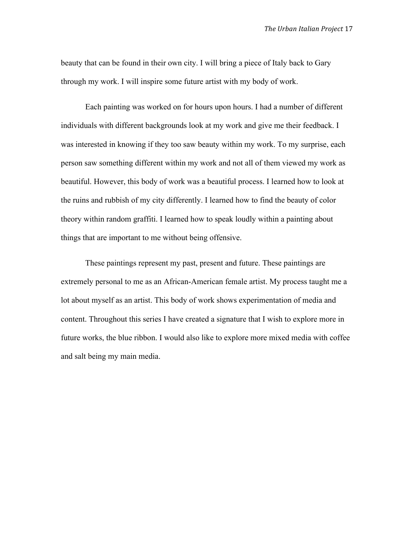beauty that can be found in their own city. I will bring a piece of Italy back to Gary through my work. I will inspire some future artist with my body of work.

Each painting was worked on for hours upon hours. I had a number of different individuals with different backgrounds look at my work and give me their feedback. I was interested in knowing if they too saw beauty within my work. To my surprise, each person saw something different within my work and not all of them viewed my work as beautiful. However, this body of work was a beautiful process. I learned how to look at the ruins and rubbish of my city differently. I learned how to find the beauty of color theory within random graffiti. I learned how to speak loudly within a painting about things that are important to me without being offensive.

These paintings represent my past, present and future. These paintings are extremely personal to me as an African-American female artist. My process taught me a lot about myself as an artist. This body of work shows experimentation of media and content. Throughout this series I have created a signature that I wish to explore more in future works, the blue ribbon. I would also like to explore more mixed media with coffee and salt being my main media.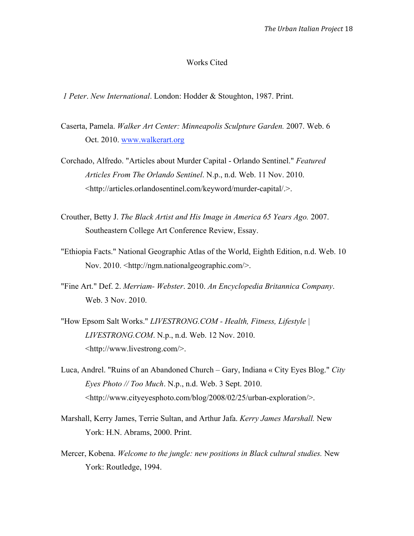## Works Cited

*1 Peter*. *New International*. London: Hodder & Stoughton, 1987. Print.

- Caserta, Pamela. *Walker Art Center: Minneapolis Sculpture Garden.* 2007. Web. 6 Oct. 2010. www.walkerart.org
- Corchado, Alfredo. "Articles about Murder Capital Orlando Sentinel." *Featured Articles From The Orlando Sentinel*. N.p., n.d. Web. 11 Nov. 2010. <http://articles.orlandosentinel.com/keyword/murder-capital/.>.
- Crouther, Betty J. *The Black Artist and His Image in America 65 Years Ago.* 2007. Southeastern College Art Conference Review, Essay.
- "Ethiopia Facts." National Geographic Atlas of the World, Eighth Edition, n.d. Web. 10 Nov. 2010. <http://ngm.nationalgeographic.com/>.
- "Fine Art." Def. 2. *Merriam- Webster*. 2010. *An Encyclopedia Britannica Company*. Web. 3 Nov. 2010.
- "How Epsom Salt Works." *LIVESTRONG.COM Health, Fitness, Lifestyle | LIVESTRONG.COM*. N.p., n.d. Web. 12 Nov. 2010. <http://www.livestrong.com/>.
- Luca, Andrel. "Ruins of an Abandoned Church Gary, Indiana « City Eyes Blog." *City Eyes Photo // Too Much*. N.p., n.d. Web. 3 Sept. 2010. <http://www.cityeyesphoto.com/blog/2008/02/25/urban-exploration/>.
- Marshall, Kerry James, Terrie Sultan, and Arthur Jafa. *Kerry James Marshall.* New York: H.N. Abrams, 2000. Print.
- Mercer, Kobena. *Welcome to the jungle: new positions in Black cultural studies.* New York: Routledge, 1994.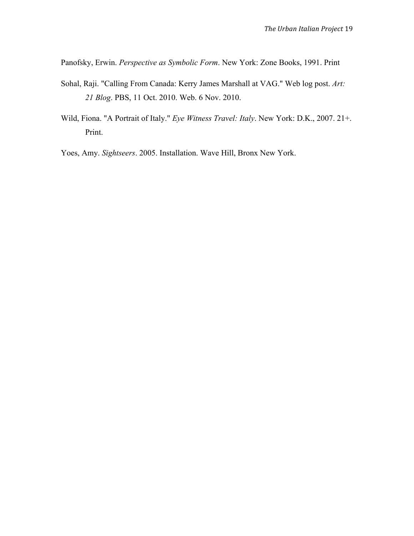Panofsky, Erwin. *Perspective as Symbolic Form*. New York: Zone Books, 1991. Print

- Sohal, Raji. "Calling From Canada: Kerry James Marshall at VAG." Web log post. *Art: 21 Blog*. PBS, 11 Oct. 2010. Web. 6 Nov. 2010.
- Wild, Fiona. "A Portrait of Italy." *Eye Witness Travel: Italy*. New York: D.K., 2007. 21+. Print.

Yoes, Amy. *Sightseers*. 2005. Installation. Wave Hill, Bronx New York.